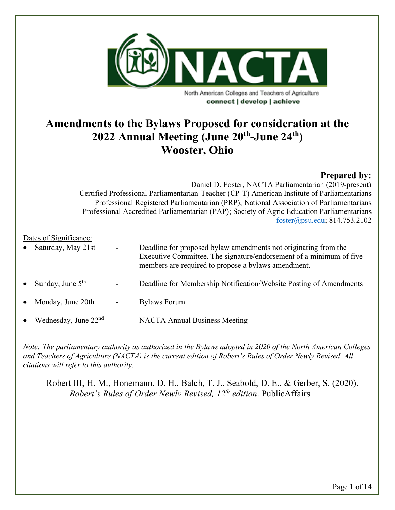

**Amendments to the Bylaws Proposed for consideration at the 2022 Annual Meeting (June 20th-June 24th) Wooster, Ohio**

# **Prepared by:**

Daniel D. Foster, NACTA Parliamentarian (2019-present) Certified Professional Parliamentarian-Teacher (CP-T) American Institute of Parliamentarians Professional Registered Parliamentarian (PRP); National Association of Parliamentarians Professional Accredited Parliamentarian (PAP); Society of Agric Education Parliamentarians [foster@psu.edu;](mailto:foster@psu.edu) 814.753.2102

### Dates of Significance:

| $\bullet$ | Saturday, May 21st     | $\overline{\phantom{a}}$ | Deadline for proposed by law amendments not originating from the<br>Executive Committee. The signature/endorsement of a minimum of five<br>members are required to propose a bylaws amendment. |
|-----------|------------------------|--------------------------|------------------------------------------------------------------------------------------------------------------------------------------------------------------------------------------------|
| $\bullet$ | Sunday, June $5th$     | $\blacksquare$           | Deadline for Membership Notification/Website Posting of Amendments                                                                                                                             |
| $\bullet$ | Monday, June 20th      | $\blacksquare$           | <b>Bylaws Forum</b>                                                                                                                                                                            |
| $\bullet$ | Wednesday, June $22nd$ | $\overline{\phantom{a}}$ | <b>NACTA Annual Business Meeting</b>                                                                                                                                                           |

*Note: The parliamentary authority as authorized in the Bylaws adopted in 2020 of the North American Colleges and Teachers of Agriculture (NACTA) is the current edition of Robert's Rules of Order Newly Revised. All citations will refer to this authority.*

Robert III, H. M., Honemann, D. H., Balch, T. J., Seabold, D. E., & Gerber, S. (2020). *Robert's Rules of Order Newly Revised, 12th edition*. PublicAffairs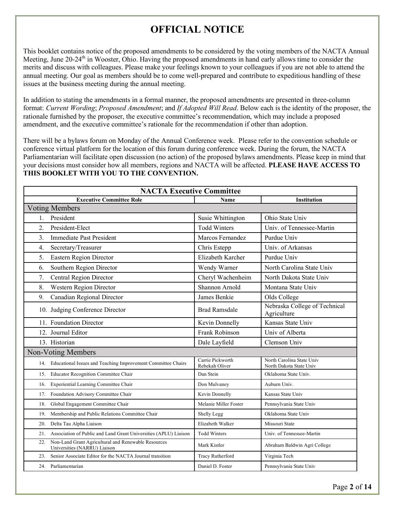# **OFFICIAL NOTICE**

This booklet contains notice of the proposed amendments to be considered by the voting members of the NACTA Annual Meeting, June 20-24<sup>th</sup> in Wooster, Ohio. Having the proposed amendments in hand early allows time to consider the merits and discuss with colleagues. Please make your feelings known to your colleagues if you are not able to attend the annual meeting. Our goal as members should be to come well-prepared and contribute to expeditious handling of these issues at the business meeting during the annual meeting.

In addition to stating the amendments in a formal manner, the proposed amendments are presented in three-column format: *Current Wording*; *Proposed Amendment*; and *If Adopted Will Read*. Below each is the identity of the proposer, the rationale furnished by the proposer, the executive committee's recommendation, which may include a proposed amendment, and the executive committee's rationale for the recommendation if other than adoption.

There will be a bylaws forum on Monday of the Annual Conference week. Please refer to the convention schedule or conference virtual platform for the location of this forum during conference week. During the forum, the NACTA Parliamentarian will facilitate open discussion (no action) of the proposed bylaws amendments. Please keep in mind that your decisions must consider how all members, regions and NACTA will be affected. **PLEASE HAVE ACCESS TO THIS BOOKLET WITH YOU TO THE CONVENTION.**

| <b>NACTA Executive Committee</b>                                                           |                                    |                                                      |  |
|--------------------------------------------------------------------------------------------|------------------------------------|------------------------------------------------------|--|
| <b>Executive Committee Role</b>                                                            | Name                               | Institution                                          |  |
| <b>Voting Members</b>                                                                      |                                    |                                                      |  |
| President<br>1.                                                                            | Susie Whittington                  | Ohio State Univ                                      |  |
| President-Elect<br>2.                                                                      | <b>Todd Winters</b>                | Univ. of Tennessee-Martin                            |  |
| <b>Immediate Past President</b><br>3.                                                      | Marcos Fernandez                   | Purdue Univ                                          |  |
| 4.<br>Secretary/Treasurer                                                                  | Chris Estepp                       | Univ. of Arkansas                                    |  |
| <b>Eastern Region Director</b><br>5.                                                       | Elizabeth Karcher                  | Purdue Univ                                          |  |
| 6.<br>Southern Region Director                                                             | Wendy Warner                       | North Carolina State Univ                            |  |
| Central Region Director<br>7.                                                              | Cheryl Wachenheim                  | North Dakota State Univ                              |  |
| 8.<br>Western Region Director                                                              | Shannon Arnold                     | Montana State Univ                                   |  |
| 9.<br>Canadian Regional Director                                                           | James Benkie                       | Olds College                                         |  |
| 10. Judging Conference Director                                                            | <b>Brad Ramsdale</b>               | Nebraska College of Technical<br>Agriculture         |  |
| 11. Foundation Director                                                                    | Kevin Donnelly                     | Kansas State Univ                                    |  |
| 12. Journal Editor                                                                         | Frank Robinson                     | Univ of Alberta                                      |  |
| 13. Historian                                                                              | Dale Layfield                      | Clemson Univ                                         |  |
| Non-Voting Members                                                                         |                                    |                                                      |  |
| 14. Educational Issues and Teaching Improvement Committee Chairs                           | Carrie Pickworth<br>Rebekah Oliver | North Carolina State Univ<br>North Dakota State Univ |  |
| Educator Recognition Committee Chair<br>15.                                                | Dan Stein                          | Oklahoma State Univ.                                 |  |
| Experiential Learning Committee Chair<br>16.                                               | Don Mulvaney                       | Auburn Univ.                                         |  |
| Foundation Advisory Committee Chair<br>17.                                                 | Kevin Donnelly                     | Kansas State Univ                                    |  |
| 18.<br>Global Engagement Committee Chair                                                   | Melanie Miller Foster              | Pennsylvania State Univ                              |  |
| Membership and Public Relations Committee Chair<br>19.                                     | Shelly Legg                        | Oklahoma State Univ                                  |  |
| 20.<br>Delta Tau Alpha Liaison                                                             | Elizabeth Walker                   | Missouri State                                       |  |
| 21. Association of Public and Land Grant Universities (APLU) Liaison                       | <b>Todd Winters</b>                | Univ. of Tennessee-Martin                            |  |
| Non-Land Grant Agricultural and Renewable Resources<br>22.<br>Universities (NARRU) Liaison | Mark Kistler                       | Abraham Baldwin Agri College                         |  |
| 23.<br>Senior Associate Editor for the NACTA Journal transition                            | <b>Tracy Rutherford</b>            | Virginia Tech                                        |  |
| 24. Parliamentarian                                                                        | Daniel D. Foster                   | Pennsylvania State Univ                              |  |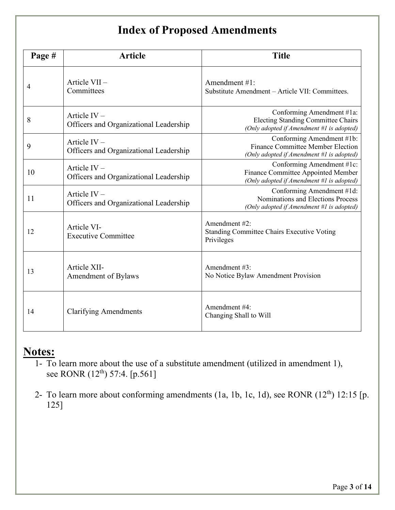# **Index of Proposed Amendments**

| Page # | <b>Article</b>                                           | <b>Title</b>                                                                                                        |
|--------|----------------------------------------------------------|---------------------------------------------------------------------------------------------------------------------|
| 4      | Article VII-<br>Committees                               | Amendment #1:<br>Substitute Amendment – Article VII: Committees.                                                    |
| 8      | Article $IV -$<br>Officers and Organizational Leadership | Conforming Amendment #1a:<br><b>Electing Standing Committee Chairs</b><br>(Only adopted if Amendment #1 is adopted) |
| 9      | Article $IV -$<br>Officers and Organizational Leadership | Conforming Amendment #1b:<br>Finance Committee Member Election<br>(Only adopted if Amendment #1 is adopted)         |
| 10     | Article $IV -$<br>Officers and Organizational Leadership | Conforming Amendment #1c:<br>Finance Committee Appointed Member<br>(Only adopted if Amendment #1 is adopted)        |
| 11     | Article $IV -$<br>Officers and Organizational Leadership | Conforming Amendment #1d:<br>Nominations and Elections Process<br>(Only adopted if Amendment #1 is adopted)         |
| 12     | Article VI-<br><b>Executive Committee</b>                | Amendment #2:<br><b>Standing Committee Chairs Executive Voting</b><br>Privileges                                    |
| 13     | Article XII-<br>Amendment of Bylaws                      | Amendment #3:<br>No Notice Bylaw Amendment Provision                                                                |
| 14     | <b>Clarifying Amendments</b>                             | Amendment #4:<br>Changing Shall to Will                                                                             |

# **Notes:**

- 1- To learn more about the use of a substitute amendment (utilized in amendment 1), see RONR (12<sup>th</sup>) 57:4. [p.561]
- 2- To learn more about conforming amendments (1a, 1b, 1c, 1d), see RONR (12<sup>th</sup>) 12:15 [p. 125]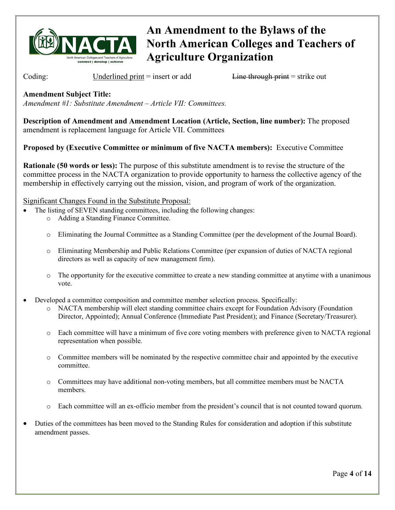

Coding: Underlined print = insert or add Line through print = strike out

**Amendment Subject Title:**

*Amendment #1: Substitute Amendment – Article VII: Committees.* 

**Description of Amendment and Amendment Location (Article, Section, line number):** The proposed amendment is replacement language for Article VII. Committees

**Proposed by (Executive Committee or minimum of five NACTA members):** Executive Committee

**Rationale (50 words or less):** The purpose of this substitute amendment is to revise the structure of the committee process in the NACTA organization to provide opportunity to harness the collective agency of the membership in effectively carrying out the mission, vision, and program of work of the organization.

Significant Changes Found in the Substitute Proposal:

- The listing of SEVEN standing committees, including the following changes:
	- o Adding a Standing Finance Committee.
		- o Eliminating the Journal Committee as a Standing Committee (per the development of the Journal Board).
		- o Eliminating Membership and Public Relations Committee (per expansion of duties of NACTA regional directors as well as capacity of new management firm).
		- o The opportunity for the executive committee to create a new standing committee at anytime with a unanimous vote.
- Developed a committee composition and committee member selection process. Specifically:
	- o NACTA membership will elect standing committee chairs except for Foundation Advisory (Foundation Director, Appointed); Annual Conference (Immediate Past President); and Finance (Secretary/Treasurer).
	- o Each committee will have a minimum of five core voting members with preference given to NACTA regional representation when possible.
	- o Committee members will be nominated by the respective committee chair and appointed by the executive committee.
	- o Committees may have additional non-voting members, but all committee members must be NACTA members.
	- o Each committee will an ex-officio member from the president's council that is not counted toward quorum.
- Duties of the committees has been moved to the Standing Rules for consideration and adoption if this substitute amendment passes.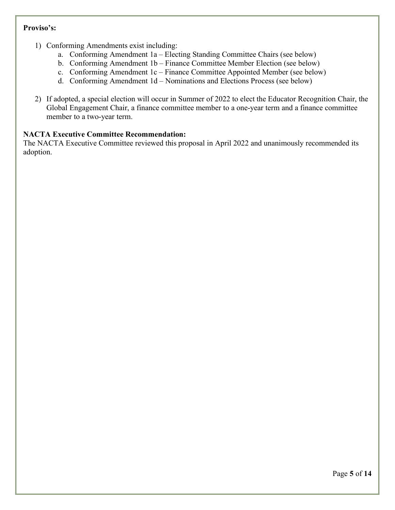### **Proviso's:**

- 1) Conforming Amendments exist including:
	- a. Conforming Amendment 1a Electing Standing Committee Chairs (see below)
	- b. Conforming Amendment 1b Finance Committee Member Election (see below)
	- c. Conforming Amendment 1c Finance Committee Appointed Member (see below)
	- d. Conforming Amendment 1d Nominations and Elections Process (see below)
- 2) If adopted, a special election will occur in Summer of 2022 to elect the Educator Recognition Chair, the Global Engagement Chair, a finance committee member to a one-year term and a finance committee member to a two-year term.

## **NACTA Executive Committee Recommendation:**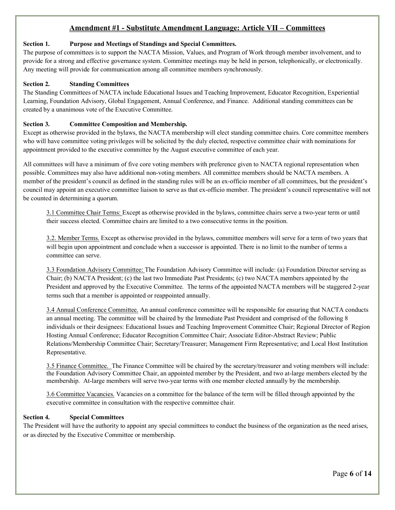## **Amendment #1 - Substitute Amendment Language: Article VII – Committees**

#### **Section 1. Purpose and Meetings of Standings and Special Committees.**

The purpose of committees is to support the NACTA Mission, Values, and Program of Work through member involvement, and to provide for a strong and effective governance system. Committee meetings may be held in person, telephonically, or electronically. Any meeting will provide for communication among all committee members synchronously.

#### **Section 2. Standing Committees**

The Standing Committees of NACTA include Educational Issues and Teaching Improvement, Educator Recognition, Experiential Learning, Foundation Advisory, Global Engagement, Annual Conference, and Finance. Additional standing committees can be created by a unanimous vote of the Executive Committee.

#### **Section 3. Committee Composition and Membership.**

Except as otherwise provided in the bylaws, the NACTA membership will elect standing committee chairs. Core committee members who will have committee voting privileges will be solicited by the duly elected, respective committee chair with nominations for appointment provided to the executive committee by the August executive committee of each year.

All committees will have a minimum of five core voting members with preference given to NACTA regional representation when possible. Committees may also have additional non-voting members. All committee members should be NACTA members. A member of the president's council as defined in the standing rules will be an ex-officio member of all committees, but the president's council may appoint an executive committee liaison to serve as that ex-officio member. The president's council representative will not be counted in determining a quorum.

3.1 Committee Chair Terms: Except as otherwise provided in the bylaws, committee chairs serve a two-year term or until their success elected. Committee chairs are limited to a two consecutive terms in the position.

3.2. Member Terms. Except as otherwise provided in the bylaws, committee members will serve for a term of two years that will begin upon appointment and conclude when a successor is appointed. There is no limit to the number of terms a committee can serve.

3.3 Foundation Advisory Committee: The Foundation Advisory Committee will include: (a) Foundation Director serving as Chair; (b) NACTA President; (c) the last two Immediate Past Presidents; (c) two NACTA members appointed by the President and approved by the Executive Committee. The terms of the appointed NACTA members will be staggered 2-year terms such that a member is appointed or reappointed annually.

3.4 Annual Conference Committee. An annual conference committee will be responsible for ensuring that NACTA conducts an annual meeting. The committee will be chaired by the Immediate Past President and comprised of the following 8 individuals or their designees: Educational Issues and Teaching Improvement Committee Chair; Regional Director of Region Hosting Annual Conference; Educator Recognition Committee Chair; Associate Editor-Abstract Review; Public Relations/Membership Committee Chair; Secretary/Treasurer; Management Firm Representative; and Local Host Institution Representative.

3.5 Finance Committee. The Finance Committee will be chaired by the secretary/treasurer and voting members will include: the Foundation Advisory Committee Chair, an appointed member by the President, and two at-large members elected by the membership. At-large members will serve two-year terms with one member elected annually by the membership.

3.6 Committee Vacancies. Vacancies on a committee for the balance of the term will be filled through appointed by the executive committee in consultation with the respective committee chair.

#### **Section 4. Special Committees**

The President will have the authority to appoint any special committees to conduct the business of the organization as the need arises, or as directed by the Executive Committee or membership.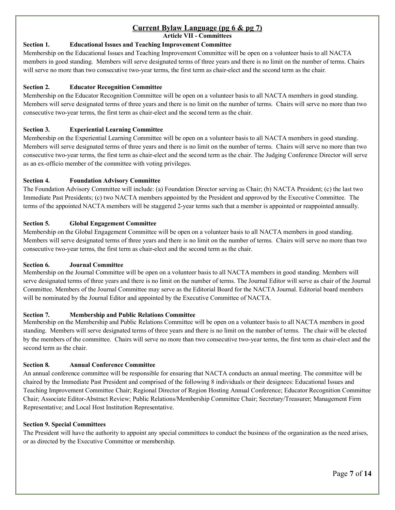# **Current Bylaw Language (pg 6 & pg 7)**

**Article VII - Committees**

### **Section 1. Educational Issues and Teaching Improvement Committee**

Membership on the Educational Issues and Teaching Improvement Committee will be open on a volunteer basis to all NACTA members in good standing. Members will serve designated terms of three years and there is no limit on the number of terms. Chairs will serve no more than two consecutive two-year terms, the first term as chair-elect and the second term as the chair.

#### **Section 2. Educator Recognition Committee**

Membership on the Educator Recognition Committee will be open on a volunteer basis to all NACTA members in good standing. Members will serve designated terms of three years and there is no limit on the number of terms. Chairs will serve no more than two consecutive two-year terms, the first term as chair-elect and the second term as the chair.

#### **Section 3. Experiential Learning Committee**

Membership on the Experiential Learning Committee will be open on a volunteer basis to all NACTA members in good standing. Members will serve designated terms of three years and there is no limit on the number of terms. Chairs will serve no more than two consecutive two-year terms, the first term as chair-elect and the second term as the chair. The Judging Conference Director will serve as an ex-officio member of the committee with voting privileges.

#### **Section 4. Foundation Advisory Committee**

The Foundation Advisory Committee will include: (a) Foundation Director serving as Chair; (b) NACTA President; (c) the last two Immediate Past Presidents; (c) two NACTA members appointed by the President and approved by the Executive Committee. The terms of the appointed NACTA members will be staggered 2-year terms such that a member is appointed or reappointed annually.

#### **Section 5. Global Engagement Committee**

Membership on the Global Engagement Committee will be open on a volunteer basis to all NACTA members in good standing. Members will serve designated terms of three years and there is no limit on the number of terms. Chairs will serve no more than two consecutive two-year terms, the first term as chair-elect and the second term as the chair.

#### **Section 6. Journal Committee**

Membership on the Journal Committee will be open on a volunteer basis to all NACTA members in good standing. Members will serve designated terms of three years and there is no limit on the number of terms. The Journal Editor will serve as chair of the Journal Committee. Members of the Journal Committee may serve as the Editorial Board for the NACTA Journal. Editorial board members will be nominated by the Journal Editor and appointed by the Executive Committee of NACTA.

#### **Section 7. Membership and Public Relations Committee**

Membership on the Membership and Public Relations Committee will be open on a volunteer basis to all NACTA members in good standing. Members will serve designated terms of three years and there is no limit on the number of terms. The chair will be elected by the members of the committee. Chairs will serve no more than two consecutive two-year terms, the first term as chair-elect and the second term as the chair.

#### **Section 8. Annual Conference Committee**

An annual conference committee will be responsible for ensuring that NACTA conducts an annual meeting. The committee will be chaired by the Immediate Past President and comprised of the following 8 individuals or their designees: Educational Issues and Teaching Improvement Committee Chair; Regional Director of Region Hosting Annual Conference; Educator Recognition Committee Chair; Associate Editor-Abstract Review; Public Relations/Membership Committee Chair; Secretary/Treasurer; Management Firm Representative; and Local Host Institution Representative.

#### **Section 9. Special Committees**

The President will have the authority to appoint any special committees to conduct the business of the organization as the need arises, or as directed by the Executive Committee or membership.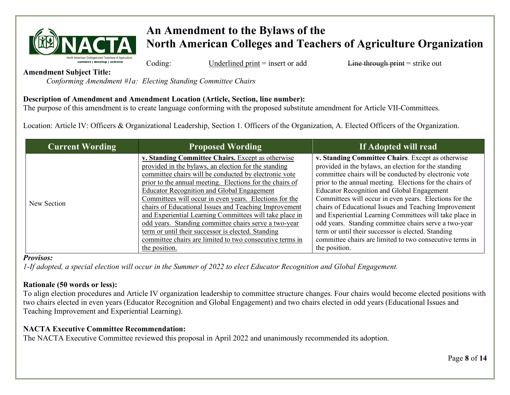

Coding: Underlined print = insert or add Line through print = strike out

**Amendment Subject Title:**

*Conforming Amendment #1a: Electing Standing Committee Chairs*

# **Description of Amendment and Amendment Location (Article, Section, line number):**

The purpose of this amendment is to create language conforming with the proposed substitute amendment for Article VII-Committees.

Location: Article IV: Officers & Organizational Leadership, Section 1. Officers of the Organization, A. Elected Officers of the Organization.

| <b>Current Wording</b> | <b>Proposed Wording</b>                                                                                                                                                                                                                                                                                                                                                                                                                                                                                                                                                                                                                                       | If Adopted will read                                                                                                                                                                                                                                                                                                                                                                                                                                                                                                                                                                                                                                          |
|------------------------|---------------------------------------------------------------------------------------------------------------------------------------------------------------------------------------------------------------------------------------------------------------------------------------------------------------------------------------------------------------------------------------------------------------------------------------------------------------------------------------------------------------------------------------------------------------------------------------------------------------------------------------------------------------|---------------------------------------------------------------------------------------------------------------------------------------------------------------------------------------------------------------------------------------------------------------------------------------------------------------------------------------------------------------------------------------------------------------------------------------------------------------------------------------------------------------------------------------------------------------------------------------------------------------------------------------------------------------|
| New Section            | v. Standing Committee Chairs. Except as otherwise<br>provided in the bylaws, an election for the standing<br>committee chairs will be conducted by electronic vote<br>prior to the annual meeting. Elections for the chairs of<br><b>Educator Recognition and Global Engagement</b><br>Committees will occur in even years. Elections for the<br>chairs of Educational Issues and Teaching Improvement<br>and Experiential Learning Committees will take place in<br>odd years. Standing committee chairs serve a two-year<br>term or until their successor is elected. Standing<br>committee chairs are limited to two consecutive terms in<br>the position. | v. Standing Committee Chairs. Except as otherwise<br>provided in the bylaws, an election for the standing<br>committee chairs will be conducted by electronic vote<br>prior to the annual meeting. Elections for the chairs of<br><b>Educator Recognition and Global Engagement</b><br>Committees will occur in even years. Elections for the<br>chairs of Educational Issues and Teaching Improvement<br>and Experiential Learning Committees will take place in<br>odd years. Standing committee chairs serve a two-year<br>term or until their successor is elected. Standing<br>committee chairs are limited to two consecutive terms in<br>the position. |

### *Provisos:*

*1-If adopted, a special election will occur in the Summer of 2022 to elect Educator Recognition and Global Engagement.*

# **Rationale (50 words or less):**

To align election procedures and Article IV organization leadership to committee structure changes. Four chairs would become elected positions with two chairs elected in even years (Educator Recognition and Global Engagement) and two chairs elected in odd years (Educational Issues and Teaching Improvement and Experiential Learning).

# **NACTA Executive Committee Recommendation:**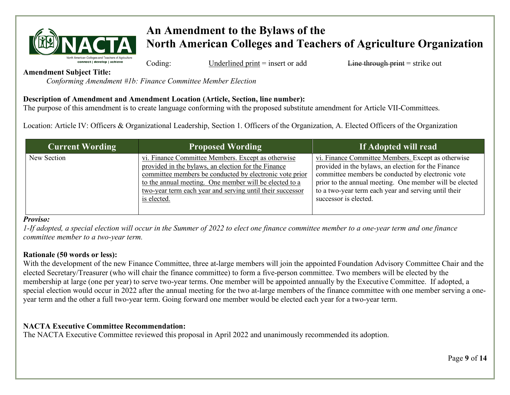

Coding: Underlined print = insert or add Line through print = strike out

**Amendment Subject Title:**

*Conforming Amendment #1b: Finance Committee Member Election*

# **Description of Amendment and Amendment Location (Article, Section, line number):**

The purpose of this amendment is to create language conforming with the proposed substitute amendment for Article VII-Committees.

Location: Article IV: Officers & Organizational Leadership, Section 1. Officers of the Organization, A. Elected Officers of the Organization

| <b>Current Wording</b> | <b>Proposed Wording</b>                                                                                                                                                                                                                                                                                    | If Adopted will read                                                                                                                                                                                                                                                                                       |
|------------------------|------------------------------------------------------------------------------------------------------------------------------------------------------------------------------------------------------------------------------------------------------------------------------------------------------------|------------------------------------------------------------------------------------------------------------------------------------------------------------------------------------------------------------------------------------------------------------------------------------------------------------|
| New Section            | vi. Finance Committee Members. Except as otherwise<br>provided in the bylaws, an election for the Finance<br>committee members be conducted by electronic vote prior<br>to the annual meeting. One member will be elected to a<br>two-year term each year and serving until their successor<br>is elected. | vi. Finance Committee Members. Except as otherwise<br>provided in the bylaws, an election for the Finance<br>committee members be conducted by electronic vote<br>prior to the annual meeting. One member will be elected<br>to a two-year term each year and serving until their<br>successor is elected. |

### *Proviso:*

*1-If adopted, a special election will occur in the Summer of 2022 to elect one finance committee member to a one-year term and one finance committee member to a two-year term.*

## **Rationale (50 words or less):**

With the development of the new Finance Committee, three at-large members will join the appointed Foundation Advisory Committee Chair and the elected Secretary/Treasurer (who will chair the finance committee) to form a five-person committee. Two members will be elected by the membership at large (one per year) to serve two-year terms. One member will be appointed annually by the Executive Committee. If adopted, a special election would occur in 2022 after the annual meeting for the two at-large members of the finance committee with one member serving a oneyear term and the other a full two-year term. Going forward one member would be elected each year for a two-year term.

# **NACTA Executive Committee Recommendation:**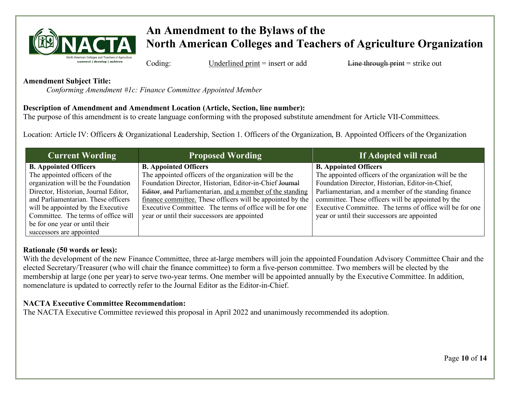

Coding: Underlined print = insert or add Line through print = strike out

**Amendment Subject Title:**

*Conforming Amendment #1c: Finance Committee Appointed Member* 

# **Description of Amendment and Amendment Location (Article, Section, line number):**

The purpose of this amendment is to create language conforming with the proposed substitute amendment for Article VII-Committees.

Location: Article IV: Officers & Organizational Leadership, Section 1. Officers of the Organization, B. Appointed Officers of the Organization

| <b>Current Wording</b>                                                                                                                                                                                                                                                                             | <b>Proposed Wording</b>                                                                                                                                                                                                                                                                                                                                                                  | If Adopted will read                                                                                                                                                                                                                                                                                                                                                  |
|----------------------------------------------------------------------------------------------------------------------------------------------------------------------------------------------------------------------------------------------------------------------------------------------------|------------------------------------------------------------------------------------------------------------------------------------------------------------------------------------------------------------------------------------------------------------------------------------------------------------------------------------------------------------------------------------------|-----------------------------------------------------------------------------------------------------------------------------------------------------------------------------------------------------------------------------------------------------------------------------------------------------------------------------------------------------------------------|
| <b>B.</b> Appointed Officers<br>The appointed officers of the<br>organization will be the Foundation<br>Director, Historian, Journal Editor,<br>and Parliamentarian. These officers<br>will be appointed by the Executive<br>Committee. The terms of office will<br>be for one year or until their | <b>B.</b> Appointed Officers<br>The appointed officers of the organization will be the<br>Foundation Director, Historian, Editor-in-Chief Journal<br>Editor, and Parliamentarian, and a member of the standing<br>finance committee. These officers will be appointed by the<br>Executive Committee. The terms of office will be for one<br>year or until their successors are appointed | <b>B.</b> Appointed Officers<br>The appointed officers of the organization will be the<br>Foundation Director, Historian, Editor-in-Chief,<br>Parliamentarian, and a member of the standing finance<br>committee. These officers will be appointed by the<br>Executive Committee. The terms of office will be for one<br>year or until their successors are appointed |
| successors are appointed                                                                                                                                                                                                                                                                           |                                                                                                                                                                                                                                                                                                                                                                                          |                                                                                                                                                                                                                                                                                                                                                                       |

# **Rationale (50 words or less):**

With the development of the new Finance Committee, three at-large members will join the appointed Foundation Advisory Committee Chair and the elected Secretary/Treasurer (who will chair the finance committee) to form a five-person committee. Two members will be elected by the membership at large (one per year) to serve two-year terms. One member will be appointed annually by the Executive Committee. In addition, nomenclature is updated to correctly refer to the Journal Editor as the Editor-in-Chief.

# **NACTA Executive Committee Recommendation:**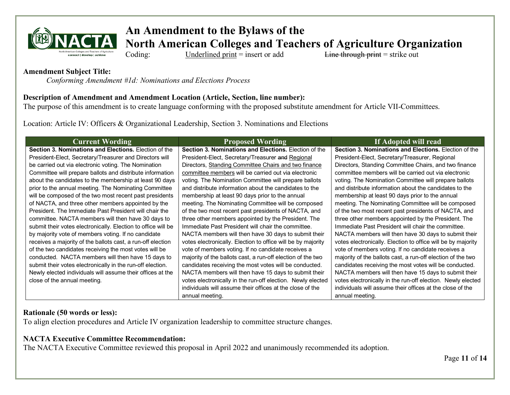

# **An Amendment to the Bylaws of the**

**North American Colleges and Teachers of Agriculture Organization**<br>Coding: Underlined print = insert or add<br>Line through print = strike out

Coding: Underlined print = insert or add Line through print = strike out

### **Amendment Subject Title:**

*Conforming Amendment #1d: Nominations and Elections Process*

## **Description of Amendment and Amendment Location (Article, Section, line number):**

The purpose of this amendment is to create language conforming with the proposed substitute amendment for Article VII-Committees.

Location: Article IV: Officers & Organizational Leadership, Section 3. Nominations and Elections

| <b>Current Wording</b>                                        | <b>Proposed Wording</b>                                      | If Adopted will read                                         |
|---------------------------------------------------------------|--------------------------------------------------------------|--------------------------------------------------------------|
| <b>Section 3. Nominations and Elections.</b> Election of the  | <b>Section 3. Nominations and Elections.</b> Election of the | <b>Section 3. Nominations and Elections.</b> Election of the |
| President-Elect, Secretary/Treasurer and Directors will       | President-Elect, Secretary/Treasurer and Regional            | President-Elect, Secretary/Treasurer, Regional               |
| be carried out via electronic voting. The Nomination          | Directors, Standing Committee Chairs and two finance         | Directors, Standing Committee Chairs, and two finance        |
| Committee will prepare ballots and distribute information     | committee members will be carried out via electronic         | committee members will be carried out via electronic         |
| about the candidates to the membership at least 90 days       | voting. The Nomination Committee will prepare ballots        | voting. The Nomination Committee will prepare ballots        |
| prior to the annual meeting. The Nominating Committee         | and distribute information about the candidates to the       | and distribute information about the candidates to the       |
| will be composed of the two most recent past presidents       | membership at least 90 days prior to the annual              | membership at least 90 days prior to the annual              |
| of NACTA, and three other members appointed by the            | meeting. The Nominating Committee will be composed           | meeting. The Nominating Committee will be composed           |
| President. The Immediate Past President will chair the        | of the two most recent past presidents of NACTA, and         | of the two most recent past presidents of NACTA, and         |
| committee. NACTA members will then have 30 days to            | three other members appointed by the President. The          | three other members appointed by the President. The          |
| submit their votes electronically. Election to office will be | Immediate Past President will chair the committee.           | Immediate Past President will chair the committee.           |
| by majority vote of members voting. If no candidate           | NACTA members will then have 30 days to submit their         | NACTA members will then have 30 days to submit their         |
| receives a majority of the ballots cast, a run-off election   | votes electronically. Election to office will be by majority | votes electronically. Election to office will be by majority |
| of the two candidates receiving the most votes will be        | vote of members voting. If no candidate receives a           | vote of members voting. If no candidate receives a           |
| conducted. NACTA members will then have 15 days to            | majority of the ballots cast, a run-off election of the two  | majority of the ballots cast, a run-off election of the two  |
| submit their votes electronically in the run-off election.    | candidates receiving the most votes will be conducted.       | candidates receiving the most votes will be conducted.       |
| Newly elected individuals will assume their offices at the    | NACTA members will then have 15 days to submit their         | NACTA members will then have 15 days to submit their         |
| close of the annual meeting.                                  | votes electronically in the run-off election. Newly elected  | votes electronically in the run-off election. Newly elected  |
|                                                               | individuals will assume their offices at the close of the    | individuals will assume their offices at the close of the    |
|                                                               | annual meeting.                                              | annual meeting.                                              |

## **Rationale (50 words or less):**

To align election procedures and Article IV organization leadership to committee structure changes.

# **NACTA Executive Committee Recommendation:**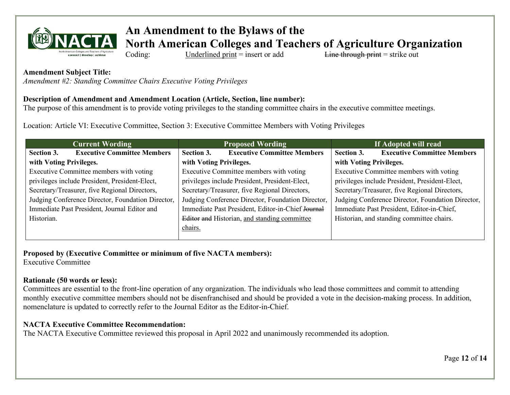

# **An Amendment to the Bylaws of the**

**North American Colleges and Teachers of Agriculture Organization**

Coding: Underlined print = insert or add Line through print = strike out

## **Amendment Subject Title:**

*Amendment #2: Standing Committee Chairs Executive Voting Privileges*

## **Description of Amendment and Amendment Location (Article, Section, line number):**

The purpose of this amendment is to provide voting privileges to the standing committee chairs in the executive committee meetings.

Location: Article VI: Executive Committee, Section 3: Executive Committee Members with Voting Privileges

| <b>Current Wording</b>                            | <b>Proposed Wording</b>                           | If Adopted will read                              |
|---------------------------------------------------|---------------------------------------------------|---------------------------------------------------|
| <b>Executive Committee Members</b><br>Section 3.  | <b>Executive Committee Members</b><br>Section 3.  | <b>Executive Committee Members</b><br>Section 3.  |
| with Voting Privileges.                           | with Voting Privileges.                           | with Voting Privileges.                           |
| Executive Committee members with voting           | Executive Committee members with voting           | Executive Committee members with voting           |
| privileges include President, President-Elect,    | privileges include President, President-Elect,    | privileges include President, President-Elect,    |
| Secretary/Treasurer, five Regional Directors,     | Secretary/Treasurer, five Regional Directors,     | Secretary/Treasurer, five Regional Directors,     |
| Judging Conference Director, Foundation Director, | Judging Conference Director, Foundation Director, | Judging Conference Director, Foundation Director, |
| Immediate Past President, Journal Editor and      | Immediate Past President, Editor-in-Chief Journal | Immediate Past President, Editor-in-Chief,        |
| Historian.                                        | Editor and Historian, and standing committee      | Historian, and standing committee chairs.         |
|                                                   | chairs.                                           |                                                   |
|                                                   |                                                   |                                                   |

**Proposed by (Executive Committee or minimum of five NACTA members):**  Executive Committee

# **Rationale (50 words or less):**

Committees are essential to the front-line operation of any organization. The individuals who lead those committees and commit to attending monthly executive committee members should not be disenfranchised and should be provided a vote in the decision-making process. In addition, nomenclature is updated to correctly refer to the Journal Editor as the Editor-in-Chief.

# **NACTA Executive Committee Recommendation:**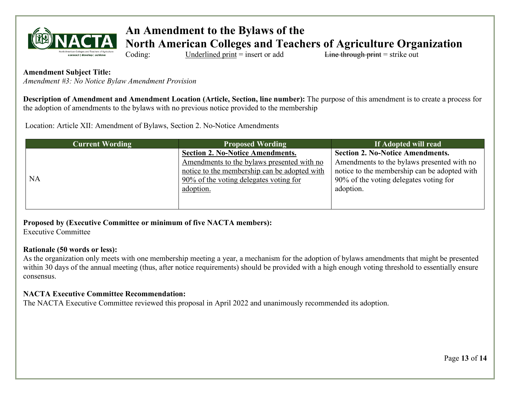

# **An Amendment to the Bylaws of the**

**North American Colleges and Teachers of Agriculture Organization**

Coding: Underlined print = insert or add Line through print = strike out

## **Amendment Subject Title:**

*Amendment #3: No Notice Bylaw Amendment Provision*

**Description of Amendment and Amendment Location (Article, Section, line number):** The purpose of this amendment is to create a process for the adoption of amendments to the bylaws with no previous notice provided to the membership

Location: Article XII: Amendment of Bylaws, Section 2. No-Notice Amendments

| <b>Current Wording</b> | <b>Proposed Wording</b>                      | If Adopted will read                         |
|------------------------|----------------------------------------------|----------------------------------------------|
|                        | <b>Section 2. No-Notice Amendments.</b>      | <b>Section 2. No-Notice Amendments.</b>      |
|                        | Amendments to the bylaws presented with no   | Amendments to the bylaws presented with no   |
|                        | notice to the membership can be adopted with | notice to the membership can be adopted with |
| <b>NA</b>              | 90% of the voting delegates voting for       | 90% of the voting delegates voting for       |
|                        | adoption.                                    | adoption.                                    |
|                        |                                              |                                              |
|                        |                                              |                                              |

**Proposed by (Executive Committee or minimum of five NACTA members):**  Executive Committee

## **Rationale (50 words or less):**

As the organization only meets with one membership meeting a year, a mechanism for the adoption of bylaws amendments that might be presented within 30 days of the annual meeting (thus, after notice requirements) should be provided with a high enough voting threshold to essentially ensure consensus.

## **NACTA Executive Committee Recommendation:**